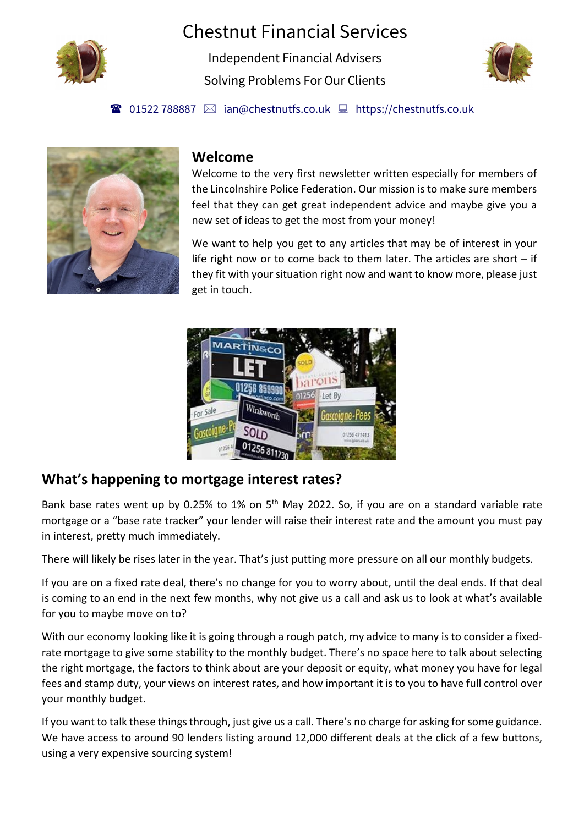

# Chestnut Financial Services

Independent Financial Advisers Solving Problems For Our Clients



**1** 01522 788887  $\boxtimes$  ian@chestnutfs.co.uk  $\boxplus$  https://chestnutfs.co.uk



#### **Welcome**

Welcome to the very first newsletter written especially for members of the Lincolnshire Police Federation. Our mission is to make sure members feel that they can get great independent advice and maybe give you a new set of ideas to get the most from your money!

We want to help you get to any articles that may be of interest in your life right now or to come back to them later. The articles are short – if they fit with your situation right now and want to know more, please just get in touch.



## **What's happening to mortgage interest rates?**

Bank base rates went up by 0.25% to 1% on 5<sup>th</sup> May 2022. So, if you are on a standard variable rate mortgage or a "base rate tracker" your lender will raise their interest rate and the amount you must pay in interest, pretty much immediately.

There will likely be rises later in the year. That's just putting more pressure on all our monthly budgets.

If you are on a fixed rate deal, there's no change for you to worry about, until the deal ends. If that deal is coming to an end in the next few months, why not give us a call and ask us to look at what's available for you to maybe move on to?

With our economy looking like it is going through a rough patch, my advice to many is to consider a fixedrate mortgage to give some stability to the monthly budget. There's no space here to talk about selecting the right mortgage, the factors to think about are your deposit or equity, what money you have for legal fees and stamp duty, your views on interest rates, and how important it is to you to have full control over your monthly budget.

If you want to talk these things through, just give us a call. There's no charge for asking for some guidance. We have access to around 90 lenders listing around 12,000 different deals at the click of a few buttons, using a very expensive sourcing system!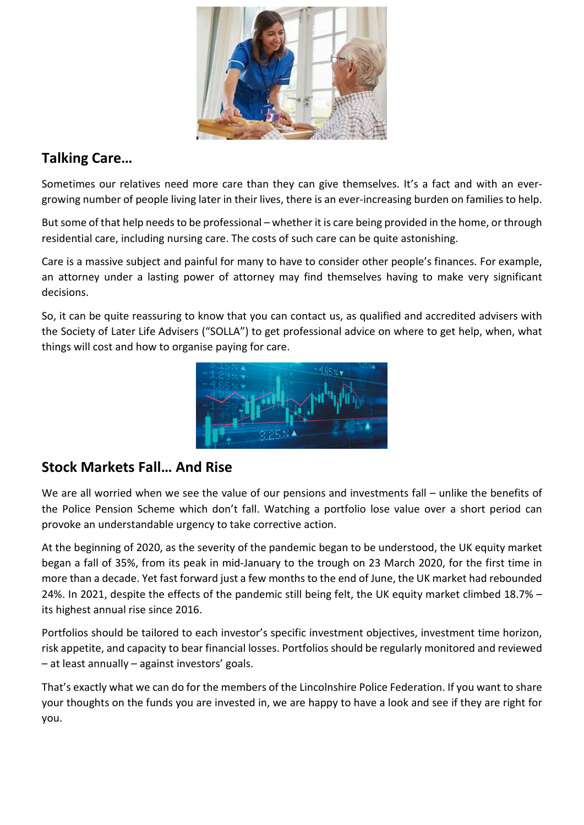

# **Talking Care…**

Sometimes our relatives need more care than they can give themselves. It's a fact and with an evergrowing number of people living later in their lives, there is an ever-increasing burden on families to help.

But some of that help needs to be professional – whether it is care being provided in the home, or through residential care, including nursing care. The costs of such care can be quite astonishing.

Care is a massive subject and painful for many to have to consider other people's finances. For example, an attorney under a lasting power of attorney may find themselves having to make very significant decisions.

So, it can be quite reassuring to know that you can contact us, as qualified and accredited advisers with the Society of Later Life Advisers ("SOLLA") to get professional advice on where to get help, when, what things will cost and how to organise paying for care.



## **Stock Markets Fall… And Rise**

We are all worried when we see the value of our pensions and investments fall – unlike the benefits of the Police Pension Scheme which don't fall. Watching a portfolio lose value over a short period can provoke an understandable urgency to take corrective action.

At the beginning of 2020, as the severity of the pandemic began to be understood, the UK equity market began a fall of 35%, from its peak in mid-January to the trough on 23 March 2020, for the first time in more than a decade. Yet fast forward just a few months to the end of June, the UK market had rebounded 24%. In 2021, despite the effects of the pandemic still being felt, the UK equity market climbed 18.7% – its highest annual rise since 2016.

Portfolios should be tailored to each investor's specific investment objectives, investment time horizon, risk appetite, and capacity to bear financial losses. Portfolios should be regularly monitored and reviewed – at least annually – against investors' goals.

That's exactly what we can do for the members of the Lincolnshire Police Federation. If you want to share your thoughts on the funds you are invested in, we are happy to have a look and see if they are right for you.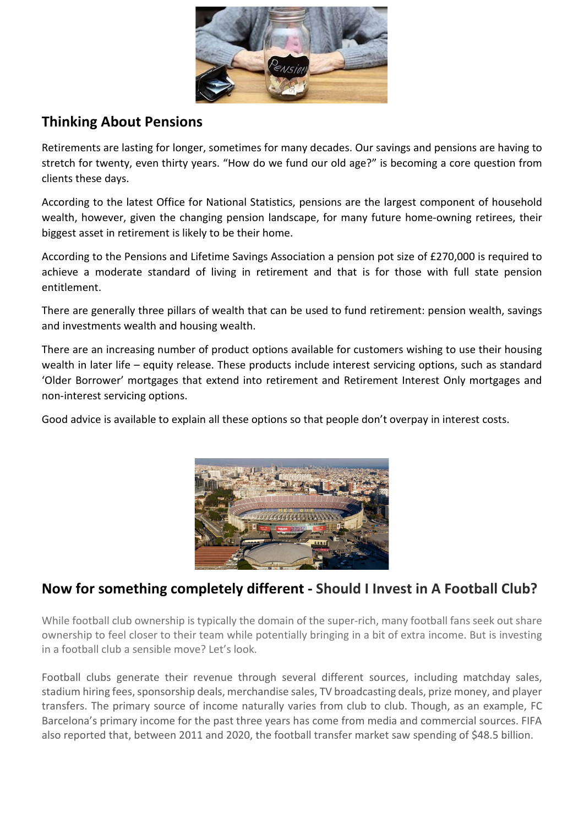

### **Thinking About Pensions**

Retirements are lasting for longer, sometimes for many decades. Our savings and pensions are having to stretch for twenty, even thirty years. "How do we fund our old age?" is becoming a core question from clients these days.

According to the latest Office for National Statistics, pensions are the largest component of household wealth, however, given the changing pension landscape, for many future home-owning retirees, their biggest asset in retirement is likely to be their home.

According to the Pensions and Lifetime Savings Association a pension pot size of £270,000 is required to achieve a moderate standard of living in retirement and that is for those with full state pension entitlement.

There are generally three pillars of wealth that can be used to fund retirement: pension wealth, savings and investments wealth and housing wealth.

There are an increasing number of product options available for customers wishing to use their housing wealth in later life – equity release. These products include interest servicing options, such as standard 'Older Borrower' mortgages that extend into retirement and Retirement Interest Only mortgages and non-interest servicing options.

Good advice is available to explain all these options so that people don't overpay in interest costs.



# **Now for something completely different - Should I Invest in A Football Club?**

While football club ownership is typically the domain of the super-rich, many football fans seek out share ownership to feel closer to their team while potentially bringing in a bit of extra income. But is investing in a football club a sensible move? Let's look.

Football clubs generate their revenue through several different sources, including matchday sales, stadium hiring fees, sponsorship deals, merchandise sales, TV broadcasting deals, prize money, and player transfers. The primary source of income naturally varies from club to club. Though, as an example, FC Barcelona's primary income for the past three years has come from media and commercial sources. FIFA also reported that, between 2011 and 2020, the football transfer market saw spending of \$48.5 billion.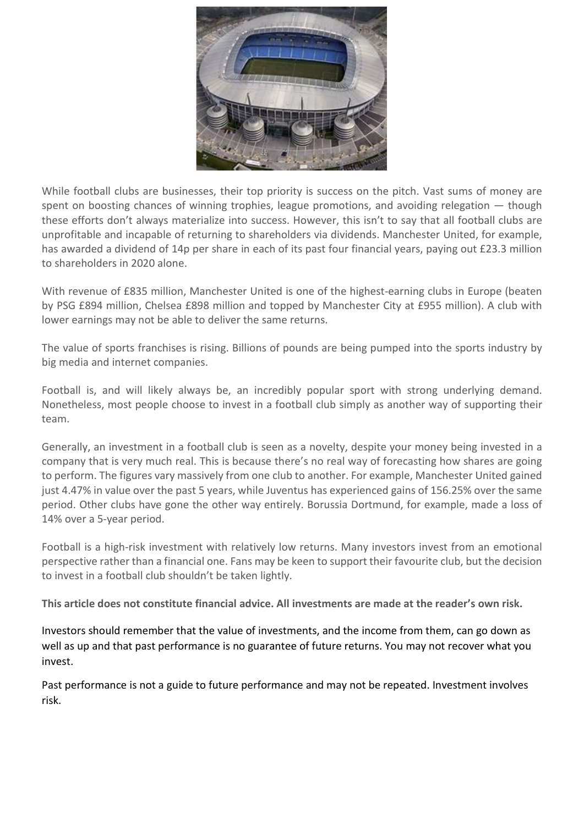

While football clubs are businesses, their top priority is success on the pitch. Vast sums of money are spent on boosting chances of winning trophies, league promotions, and avoiding relegation — though these efforts don't always materialize into success. However, this isn't to say that all football clubs are unprofitable and incapable of returning to shareholders via dividends. Manchester United, for example, has awarded a dividend of 14p per share in each of its past four financial years, paying out £23.3 million to shareholders in 2020 alone.

With revenue of £835 million, Manchester United is one of the highest-earning clubs in Europe (beaten by PSG £894 million, Chelsea £898 million and topped by Manchester City at £955 million). A club with lower earnings may not be able to deliver the same returns.

The value of sports franchises is rising. Billions of pounds are being pumped into the sports industry by big media and internet companies.

Football is, and will likely always be, an incredibly popular sport with strong underlying demand. Nonetheless, most people choose to invest in a football club simply as another way of supporting their team.

Generally, an investment in a football club is seen as a novelty, despite your money being invested in a company that is very much real. This is because there's no real way of forecasting how shares are going to perform. The figures vary massively from one club to another. For example, Manchester United gained just 4.47% in value over the past 5 years, while Juventus has experienced gains of 156.25% over the same period. Other clubs have gone the other way entirely. Borussia Dortmund, for example, made a loss of 14% over a 5-year period.

Football is a high-risk investment with relatively low returns. Many investors invest from an emotional perspective rather than a financial one. Fans may be keen to support their favourite club, but the decision to invest in a football club shouldn't be taken lightly.

**This article does not constitute financial advice. All investments are made at the reader's own risk.**

Investors should remember that the value of investments, and the income from them, can go down as well as up and that past performance is no guarantee of future returns. You may not recover what you invest.

Past performance is not a guide to future performance and may not be repeated. Investment involves risk.